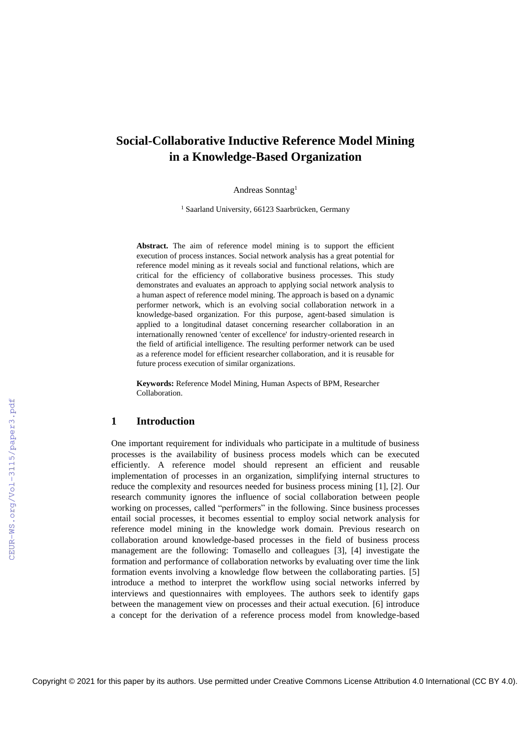# **Social-Collaborative Inductive Reference Model Mining in a Knowledge-Based Organization**

Andreas Sonntag<sup>1</sup>

<sup>1</sup> Saarland University, 66123 Saarbrücken, Germany

Abstract. The aim of reference model mining is to support the efficient execution of process instances. Social network analysis has a great potential for reference model mining as it reveals social and functional relations, which are critical for the efficiency of collaborative business processes. This study demonstrates and evaluates an approach to applying social network analysis to a human aspect of reference model mining. The approach is based on a dynamic performer network, which is an evolving social collaboration network in a knowledge-based organization. For this purpose, agent-based simulation is applied to a longitudinal dataset concerning researcher collaboration in an internationally renowned 'center of excellence' for industry-oriented research in the field of artificial intelligence. The resulting performer network can be used as a reference model for efficient researcher collaboration, and it is reusable for future process execution of similar organizations.

**Keywords:** Reference Model Mining, Human Aspects of BPM, Researcher Collaboration.

## **1 Introduction**

One important requirement for individuals who participate in a multitude of business processes is the availability of business process models which can be executed efficiently. A reference model should represent an efficient and reusable implementation of processes in an organization, simplifying internal structures to reduce the complexity and resources needed for business process mining [1], [2]. Our research community ignores the influence of social collaboration between people working on processes, called "performers" in the following. Since business processes entail social processes, it becomes essential to employ social network analysis for reference model mining in the knowledge work domain. Previous research on collaboration around knowledge-based processes in the field of business process management are the following: Tomasello and colleagues [3], [4] investigate the formation and performance of collaboration networks by evaluating over time the link formation events involving a knowledge flow between the collaborating parties. [5] introduce a method to interpret the workflow using social networks inferred by interviews and questionnaires with employees. The authors seek to identify gaps between the management view on processes and their actual execution. [6] introduce a concept for the derivation of a reference process model from knowledge-based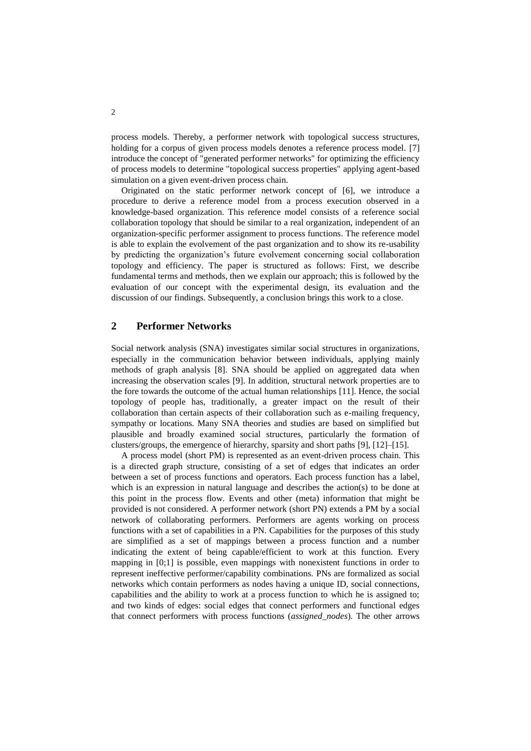process models. Thereby, a performer network with topological success structures, holding for a corpus of given process models denotes a reference process model. [7] introduce the concept of "generated performer networks" for optimizing the efficiency of process models to determine "topological success properties" applying agent-based simulation on a given event-driven process chain.

Originated on the static performer network concept of [6], we introduce a procedure to derive a reference model from a process execution observed in a knowledge-based organization. This reference model consists of a reference social collaboration topology that should be similar to a real organization, independent of an organization-specific performer assignment to process functions. The reference model is able to explain the evolvement of the past organization and to show its re-usability by predicting the organization's future evolvement concerning social collaboration topology and efficiency. The paper is structured as follows: First, we describe fundamental terms and methods, then we explain our approach; this is followed by the evaluation of our concept with the experimental design, its evaluation and the discussion of our findings. Subsequently, a conclusion brings this work to a close.

## <span id="page-1-0"></span>**2 Performer Networks**

Social network analysis (SNA) investigates similar social structures in organizations, especially in the communication behavior between individuals, applying mainly methods of graph analysis [8]. SNA should be applied on aggregated data when increasing the observation scales [9]. In addition, structural network properties are to the fore towards the outcome of the actual human relationships [11]. Hence, the social topology of people has, traditionally, a greater impact on the result of their collaboration than certain aspects of their collaboration such as e-mailing frequency, sympathy or locations. Many SNA theories and studies are based on simplified but plausible and broadly examined social structures, particularly the formation of clusters/groups, the emergence of hierarchy, sparsity and short paths [9], [12]–[15].

A process model (short PM) is represented as an event-driven process chain. This is a directed graph structure, consisting of a set of edges that indicates an order between a set of process functions and operators. Each process function has a label, which is an expression in natural language and describes the action(s) to be done at this point in the process flow. Events and other (meta) information that might be provided is not considered. A performer network (short PN) extends a PM by a social network of collaborating performers. Performers are agents working on process functions with a set of capabilities in a PN. Capabilities for the purposes of this study are simplified as a set of mappings between a process function and a number indicating the extent of being capable/efficient to work at this function. Every mapping in [0;1] is possible, even mappings with nonexistent functions in order to represent ineffective performer/capability combinations. PNs are formalized as social networks which contain performers as nodes having a unique ID, social connections, capabilities and the ability to work at a process function to which he is assigned to; and two kinds of edges: social edges that connect performers and functional edges that connect performers with process functions (*assigned\_nodes*). The other arrows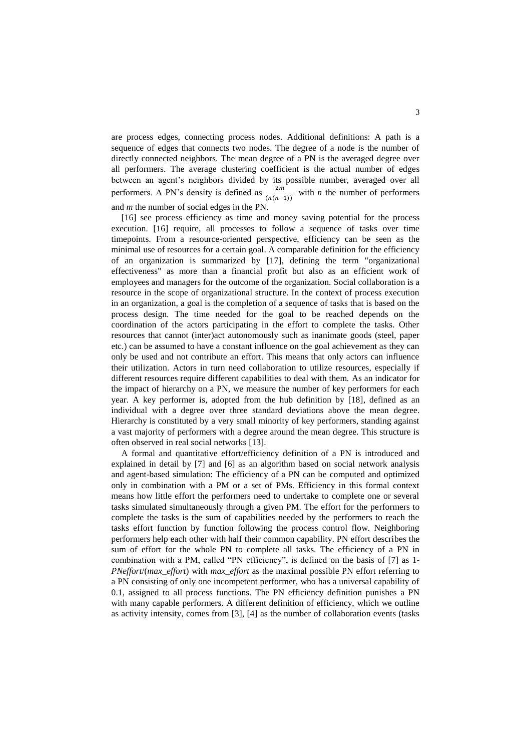are process edges, connecting process nodes. Additional definitions: A path is a sequence of edges that connects two nodes. The degree of a node is the number of directly connected neighbors. The mean degree of a PN is the averaged degree over all performers. The average clustering coefficient is the actual number of edges between an agent's neighbors divided by its possible number, averaged over all performers. A PN's density is defined as  $\frac{2m}{(n(n-1))}$  with *n* the number of performers and *m* the number of social edges in the PN.

[16] see process efficiency as time and money saving potential for the process execution. [16] require, all processes to follow a sequence of tasks over time timepoints. From a resource-oriented perspective, efficiency can be seen as the minimal use of resources for a certain goal. A comparable definition for the efficiency of an organization is summarized by [17], defining the term "organizational effectiveness" as more than a financial profit but also as an efficient work of employees and managers for the outcome of the organization. Social collaboration is a resource in the scope of organizational structure. In the context of process execution in an organization, a goal is the completion of a sequence of tasks that is based on the process design. The time needed for the goal to be reached depends on the coordination of the actors participating in the effort to complete the tasks. Other resources that cannot (inter)act autonomously such as inanimate goods (steel, paper etc.) can be assumed to have a constant influence on the goal achievement as they can only be used and not contribute an effort. This means that only actors can influence their utilization. Actors in turn need collaboration to utilize resources, especially if different resources require different capabilities to deal with them. As an indicator for the impact of hierarchy on a PN, we measure the number of key performers for each year. A key performer is, adopted from the hub definition by [18], defined as an individual with a degree over three standard deviations above the mean degree. Hierarchy is constituted by a very small minority of key performers, standing against a vast majority of performers with a degree around the mean degree. This structure is often observed in real social networks [13].

A formal and quantitative effort/efficiency definition of a PN is introduced and explained in detail by [7] and [6] as an algorithm based on social network analysis and agent-based simulation: The efficiency of a PN can be computed and optimized only in combination with a PM or a set of PMs. Efficiency in this formal context means how little effort the performers need to undertake to complete one or several tasks simulated simultaneously through a given PM. The effort for the performers to complete the tasks is the sum of capabilities needed by the performers to reach the tasks effort function by function following the process control flow. Neighboring performers help each other with half their common capability. PN effort describes the sum of effort for the whole PN to complete all tasks. The efficiency of a PN in combination with a PM, called "PN efficiency", is defined on the basis of [7] as 1- *PNeffort*/(*max\_effort*) with *max\_effort* as the maximal possible PN effort referring to a PN consisting of only one incompetent performer, who has a universal capability of 0.1, assigned to all process functions. The PN efficiency definition punishes a PN with many capable performers. A different definition of efficiency, which we outline as activity intensity, comes from [3], [4] as the number of collaboration events (tasks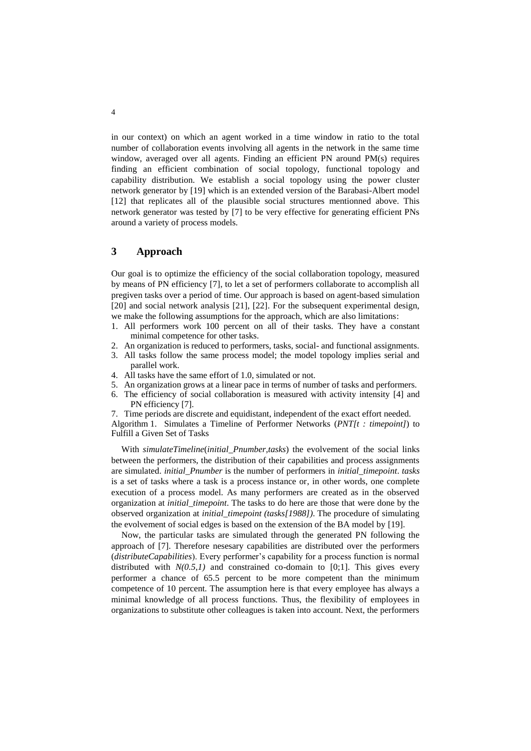in our context) on which an agent worked in a time window in ratio to the total number of collaboration events involving all agents in the network in the same time window, averaged over all agents. Finding an efficient PN around PM(s) requires finding an efficient combination of social topology, functional topology and capability distribution. We establish a social topology using the power cluster network generator by [19] which is an extended version of the Barabasi-Albert model [12] that replicates all of the plausible social structures mentionned above. This network generator was tested by [7] to be very effective for generating efficient PNs around a variety of process models.

## <span id="page-3-0"></span>**3 Approach**

Our goal is to optimize the efficiency of the social collaboration topology, measured by means of PN efficiency [7], to let a set of performers collaborate to accomplish all pregiven tasks over a period of time. Our approach is based on agent-based simulation [20] and social network analysis [21], [22]. For the subsequent experimental design, we make the following assumptions for the approach, which are also limitations:

- 1. All performers work 100 percent on all of their tasks. They have a constant minimal competence for other tasks.
- 2. An organization is reduced to performers, tasks, social- and functional assignments.
- 3. All tasks follow the same process model; the model topology implies serial and parallel work.
- 4. All tasks have the same effort of 1.0, simulated or not.
- 5. An organization grows at a linear pace in terms of number of tasks and performers.
- 6. The efficiency of social collaboration is measured with activity intensity [4] and PN efficiency [7].

7. Time periods are discrete and equidistant, independent of the exact effort needed.

Algorithm 1. Simulates a Timeline of Performer Networks (*PNT[t : timepoint]*) to Fulfill a Given Set of Tasks

With *simulateTimeline*(*initial*\_*Pnumber,tasks*) the evolvement of the social links between the performers, the distribution of their capabilities and process assignments are simulated. *initial*\_*Pnumber* is the number of performers in *initial*\_*timepoint*. *tasks*  is a set of tasks where a task is a process instance or, in other words, one complete execution of a process model. As many performers are created as in the observed organization at *initial*\_*timepoint*. The tasks to do here are those that were done by the observed organization at *initial*\_*timepoint (tasks[1988])*. The procedure of simulating the evolvement of social edges is based on the extension of the BA model by [19].

Now, the particular tasks are simulated through the generated PN following the approach of [7]. Therefore nesesary capabilities are distributed over the performers (*distributeCapabilities*). Every performer's capability for a process function is normal distributed with  $N(0.5,1)$  and constrained co-domain to [0;1]. This gives every performer a chance of 65.5 percent to be more competent than the minimum competence of 10 percent. The assumption here is that every employee has always a minimal knowledge of all process functions. Thus, the flexibility of employees in organizations to substitute other colleagues is taken into account. Next, the performers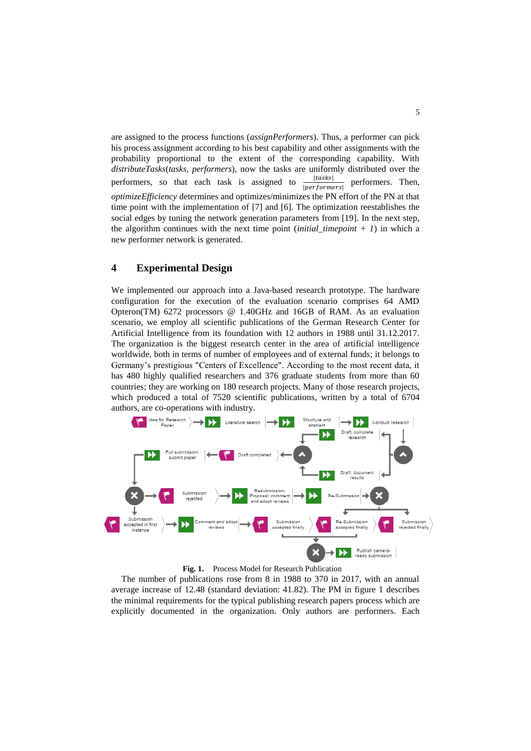are assigned to the process functions (*assignPerformers*). Thus, a performer can pick his process assignment according to his best capability and other assignments with the probability proportional to the extent of the corresponding capability. With *distributeTasks*(*tasks*, *performers*), now the tasks are uniformly distributed over the performers, so that each task is assigned to ||  $|performs|$ performers. Then, *optimizeEfficiency* determines and optimizes/minimizes the PN effort of the PN at that time point with the implementation of [7] and [6]. The optimization reestablishes the social edges by tuning the network generation parameters from [19]. In the next step, the algorithm continues with the next time point  $(inital_time point + 1)$  in which a new performer network is generated.

## **4 Experimental Design**

We implemented our approach into a Java-based research prototype. The hardware configuration for the execution of the evaluation scenario comprises 64 AMD Opteron(TM) 6272 processors @ 1.40GHz and 16GB of RAM. As an evaluation scenario, we employ all scientific publications of the German Research Center for Artificial Intelligence from its foundation with 12 authors in 1988 until 31.12.2017. The organization is the biggest research center in the area of artificial intelligence worldwide, both in terms of number of employees and of external funds; it belongs to Germany's prestigious "Centers of Excellence". According to the most recent data, it has 480 highly qualified researchers and 376 graduate students from more than 60 countries; they are working on 180 research projects. Many of those research projects, which produced a total of 7520 scientific publications, written by a total of 6704 authors, are co-operations with industry.



**Fig. 1.** Process Model for Research Publication

The number of publications rose from 8 in 1988 to 370 in 2017, with an annual average increase of 12.48 (standard deviation: 41.82). The PM in figure 1 describes the minimal requirements for the typical publishing research papers process which are explicitly documented in the organization. Only authors are performers. Each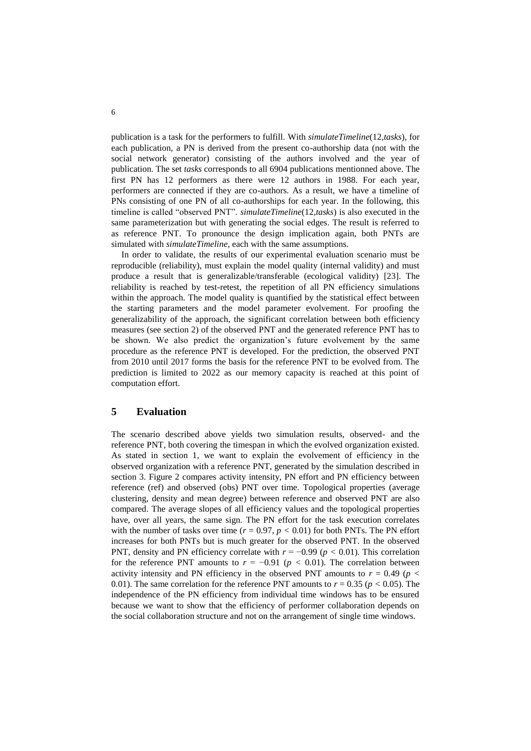publication is a task for the performers to fulfill. With *simulateTimeline*(12*,tasks*), for each publication, a PN is derived from the present co-authorship data (not with the social network generator) consisting of the authors involved and the year of publication. The set *tasks* corresponds to all 6904 publications mentionned above. The first PN has 12 performers as there were 12 authors in 1988. For each year, performers are connected if they are co-authors. As a result, we have a timeline of PNs consisting of one PN of all co-authorships for each year. In the following, this timeline is called "observed PNT". *simulateTimeline*(12*,tasks*) is also executed in the same parameterization but with generating the social edges. The result is referred to as reference PNT. To pronounce the design implication again, both PNTs are simulated with *simulateTimeline*, each with the same assumptions.

In order to validate, the results of our experimental evaluation scenario must be reproducible (reliability), must explain the model quality (internal validity) and must produce a result that is generalizable/transferable (ecological validity) [23]. The reliability is reached by test-retest, the repetition of all PN efficiency simulations within the approach. The model quality is quantified by the statistical effect between the starting parameters and the model parameter evolvement. For proofing the generalizability of the approach, the significant correlation between both efficiency measures (see section [2\)](#page-1-0) of the observed PNT and the generated reference PNT has to be shown. We also predict the organization's future evolvement by the same procedure as the reference PNT is developed. For the prediction, the observed PNT from 2010 until 2017 forms the basis for the reference PNT to be evolved from. The prediction is limited to 2022 as our memory capacity is reached at this point of computation effort.

## **5 Evaluation**

The scenario described above yields two simulation results, observed- and the reference PNT, both covering the timespan in which the evolved organization existed. As stated in section [1,](#page--1-0) we want to explain the evolvement of efficiency in the observed organization with a reference PNT, generated by the simulation described in section [3.](#page-3-0) Figure 2 compares activity intensity, PN effort and PN efficiency between reference (ref) and observed (obs) PNT over time. Topological properties (average clustering, density and mean degree) between reference and observed PNT are also compared. The average slopes of all efficiency values and the topological properties have, over all years, the same sign. The PN effort for the task execution correlates with the number of tasks over time ( $r = 0.97$ ,  $p < 0.01$ ) for both PNTs. The PN effort increases for both PNTs but is much greater for the observed PNT. In the observed PNT, density and PN efficiency correlate with  $r = -0.99$  ( $p < 0.01$ ). This correlation for the reference PNT amounts to  $r = -0.91$  ( $p < 0.01$ ). The correlation between activity intensity and PN efficiency in the observed PNT amounts to  $r = 0.49$  ( $p <$ 0.01). The same correlation for the reference PNT amounts to  $r = 0.35$  ( $p < 0.05$ ). The independence of the PN efficiency from individual time windows has to be ensured because we want to show that the efficiency of performer collaboration depends on the social collaboration structure and not on the arrangement of single time windows.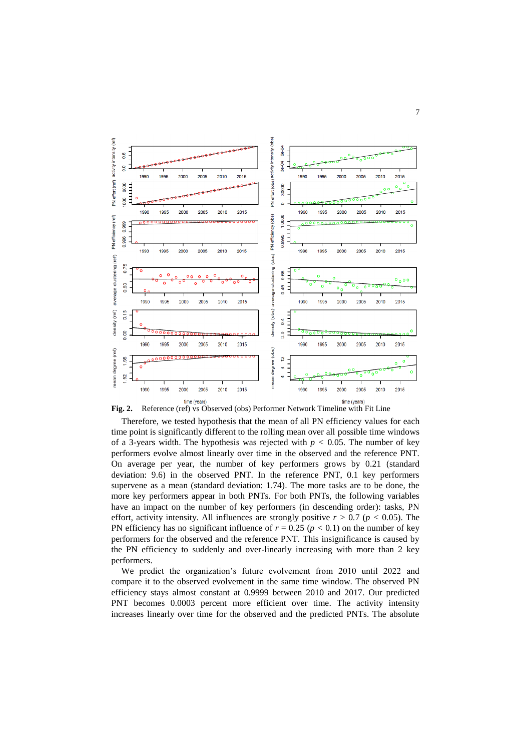

**Fig. 2.** Reference (ref) vs Observed (obs) Performer Network Timeline with Fit Line

Therefore, we tested hypothesis that the mean of all PN efficiency values for each time point is significantly different to the rolling mean over all possible time windows of a 3-years width. The hypothesis was rejected with  $p < 0.05$ . The number of key performers evolve almost linearly over time in the observed and the reference PNT. On average per year, the number of key performers grows by 0.21 (standard deviation: 9.6) in the observed PNT. In the reference PNT, 0.1 key performers supervene as a mean (standard deviation: 1.74). The more tasks are to be done, the more key performers appear in both PNTs. For both PNTs, the following variables have an impact on the number of key performers (in descending order): tasks, PN effort, activity intensity. All influences are strongly positive  $r > 0.7$  ( $p < 0.05$ ). The PN efficiency has no significant influence of  $r = 0.25$  ( $p < 0.1$ ) on the number of key performers for the observed and the reference PNT. This insignificance is caused by the PN efficiency to suddenly and over-linearly increasing with more than 2 key performers.

We predict the organization's future evolvement from 2010 until 2022 and compare it to the observed evolvement in the same time window. The observed PN efficiency stays almost constant at 0.9999 between 2010 and 2017. Our predicted PNT becomes 0.0003 percent more efficient over time. The activity intensity increases linearly over time for the observed and the predicted PNTs. The absolute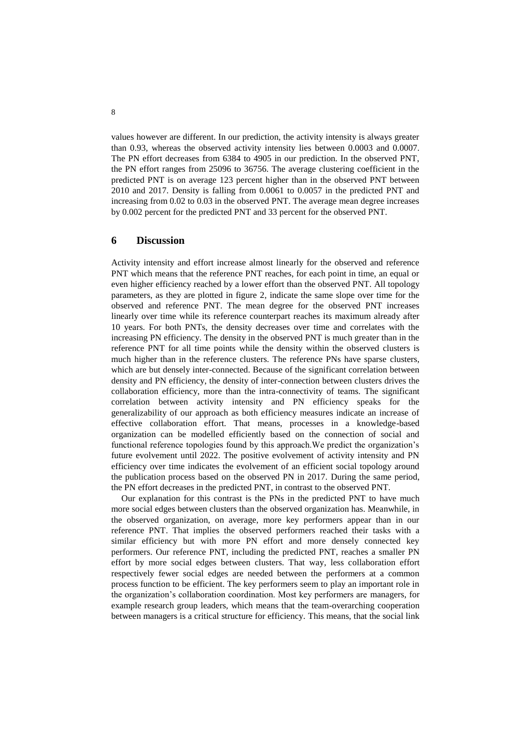values however are different. In our prediction, the activity intensity is always greater than 0.93, whereas the observed activity intensity lies between 0.0003 and 0.0007. The PN effort decreases from 6384 to 4905 in our prediction. In the observed PNT, the PN effort ranges from 25096 to 36756. The average clustering coefficient in the predicted PNT is on average 123 percent higher than in the observed PNT between 2010 and 2017. Density is falling from 0.0061 to 0.0057 in the predicted PNT and increasing from 0.02 to 0.03 in the observed PNT. The average mean degree increases by 0.002 percent for the predicted PNT and 33 percent for the observed PNT.

## **6 Discussion**

Activity intensity and effort increase almost linearly for the observed and reference PNT which means that the reference PNT reaches, for each point in time, an equal or even higher efficiency reached by a lower effort than the observed PNT. All topology parameters, as they are plotted in figure 2, indicate the same slope over time for the observed and reference PNT. The mean degree for the observed PNT increases linearly over time while its reference counterpart reaches its maximum already after 10 years. For both PNTs, the density decreases over time and correlates with the increasing PN efficiency. The density in the observed PNT is much greater than in the reference PNT for all time points while the density within the observed clusters is much higher than in the reference clusters. The reference PNs have sparse clusters, which are but densely inter-connected. Because of the significant correlation between density and PN efficiency, the density of inter-connection between clusters drives the collaboration efficiency, more than the intra-connectivity of teams. The significant correlation between activity intensity and PN efficiency speaks for the generalizability of our approach as both efficiency measures indicate an increase of effective collaboration effort. That means, processes in a knowledge-based organization can be modelled efficiently based on the connection of social and functional reference topologies found by this approach.We predict the organization's future evolvement until 2022. The positive evolvement of activity intensity and PN efficiency over time indicates the evolvement of an efficient social topology around the publication process based on the observed PN in 2017. During the same period, the PN effort decreases in the predicted PNT, in contrast to the observed PNT.

Our explanation for this contrast is the PNs in the predicted PNT to have much more social edges between clusters than the observed organization has. Meanwhile, in the observed organization, on average, more key performers appear than in our reference PNT. That implies the observed performers reached their tasks with a similar efficiency but with more PN effort and more densely connected key performers. Our reference PNT, including the predicted PNT, reaches a smaller PN effort by more social edges between clusters. That way, less collaboration effort respectively fewer social edges are needed between the performers at a common process function to be efficient. The key performers seem to play an important role in the organization's collaboration coordination. Most key performers are managers, for example research group leaders, which means that the team-overarching cooperation between managers is a critical structure for efficiency. This means, that the social link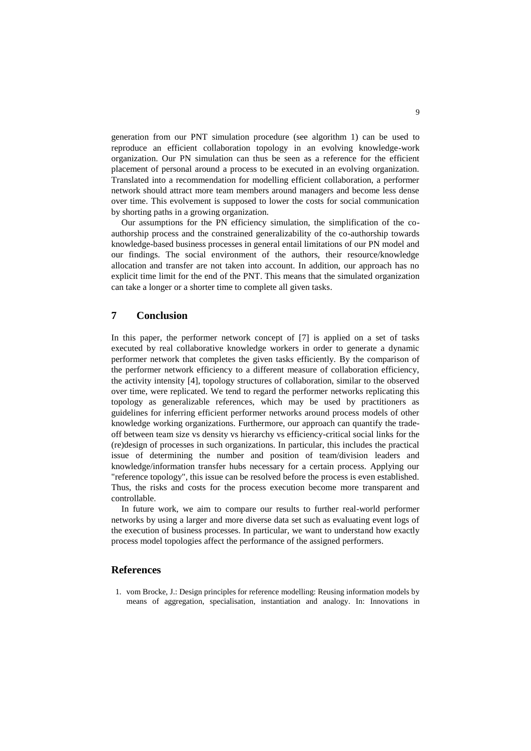generation from our PNT simulation procedure (see algorithm 1) can be used to reproduce an efficient collaboration topology in an evolving knowledge-work organization. Our PN simulation can thus be seen as a reference for the efficient placement of personal around a process to be executed in an evolving organization. Translated into a recommendation for modelling efficient collaboration, a performer network should attract more team members around managers and become less dense over time. This evolvement is supposed to lower the costs for social communication by shorting paths in a growing organization.

Our assumptions for the PN efficiency simulation, the simplification of the coauthorship process and the constrained generalizability of the co-authorship towards knowledge-based business processes in general entail limitations of our PN model and our findings. The social environment of the authors, their resource/knowledge allocation and transfer are not taken into account. In addition, our approach has no explicit time limit for the end of the PNT. This means that the simulated organization can take a longer or a shorter time to complete all given tasks.

### **7 Conclusion**

In this paper, the performer network concept of [7] is applied on a set of tasks executed by real collaborative knowledge workers in order to generate a dynamic performer network that completes the given tasks efficiently. By the comparison of the performer network efficiency to a different measure of collaboration efficiency, the activity intensity [4], topology structures of collaboration, similar to the observed over time, were replicated. We tend to regard the performer networks replicating this topology as generalizable references, which may be used by practitioners as guidelines for inferring efficient performer networks around process models of other knowledge working organizations. Furthermore, our approach can quantify the tradeoff between team size vs density vs hierarchy vs efficiency-critical social links for the (re)design of processes in such organizations. In particular, this includes the practical issue of determining the number and position of team/division leaders and knowledge/information transfer hubs necessary for a certain process. Applying our "reference topology", this issue can be resolved before the process is even established. Thus, the risks and costs for the process execution become more transparent and controllable.

In future work, we aim to compare our results to further real-world performer networks by using a larger and more diverse data set such as evaluating event logs of the execution of business processes. In particular, we want to understand how exactly process model topologies affect the performance of the assigned performers.

### **References**

1. vom Brocke, J.: Design principles for reference modelling: Reusing information models by means of aggregation, specialisation, instantiation and analogy. In: Innovations in